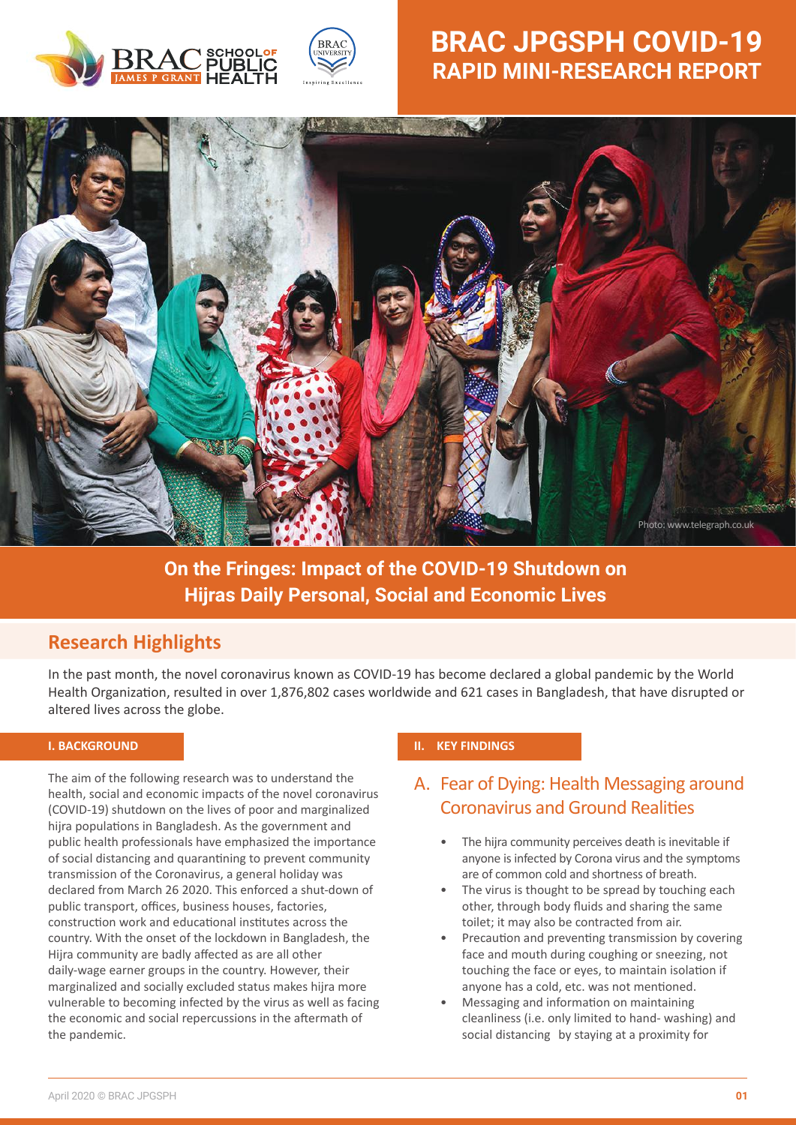



# **BRAC JPGSPH COVID-19 RAPID MINI-RESEARCH REPORT**



**On the Fringes: Impact of the COVID-19 Shutdown on Hijras Daily Personal, Social and Economic Lives**

## **Research Highlights**

In the past month, the novel coronavirus known as COVID-19 has become declared a global pandemic by the World Health Organization, resulted in over 1,876,802 cases worldwide and 621 cases in Bangladesh, that have disrupted or altered lives across the globe.

#### **I. BACKGROUND**

The aim of the following research was to understand the health, social and economic impacts of the novel coronavirus (COVID-19) shutdown on the lives of poor and marginalized hijra populations in Bangladesh. As the government and public health professionals have emphasized the importance of social distancing and quarantining to prevent community transmission of the Coronavirus, a general holiday was declared from March 26 2020. This enforced a shut-down of public transport, offices, business houses, factories, construction work and educational institutes across the country. With the onset of the lockdown in Bangladesh, the Hijra community are badly affected as are all other daily-wage earner groups in the country. However, their marginalized and socially excluded status makes hijra more vulnerable to becoming infected by the virus as well as facing the economic and social repercussions in the aftermath of the pandemic.

#### **II. KEY FINDINGS**

## A. Fear of Dying: Health Messaging around Coronavirus and Ground Realities

- The hijra community perceives death is inevitable if anyone is infected by Corona virus and the symptoms are of common cold and shortness of breath.
- The virus is thought to be spread by touching each other, through body fluids and sharing the same toilet; it may also be contracted from air.
- Precaution and preventing transmission by covering face and mouth during coughing or sneezing, not touching the face or eyes, to maintain isolation if anyone has a cold, etc. was not mentioned.
- Messaging and information on maintaining cleanliness (i.e. only limited to hand- washing) and social distancing by staying at a proximity for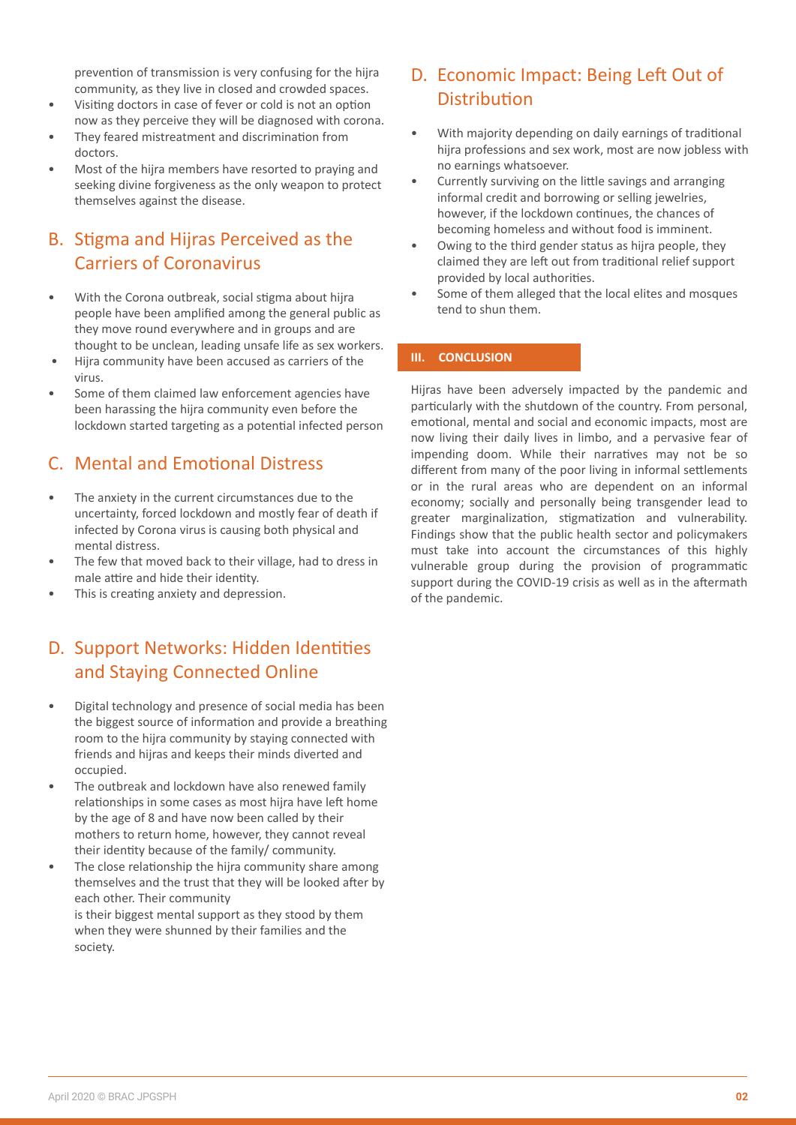prevention of transmission is very confusing for the hijra community, as they live in closed and crowded spaces.

- Visiting doctors in case of fever or cold is not an option now as they perceive they will be diagnosed with corona.
- They feared mistreatment and discrimination from doctors.
- Most of the hijra members have resorted to praying and seeking divine forgiveness as the only weapon to protect themselves against the disease.

# B. Stigma and Hijras Perceived as the Carriers of Coronavirus

- With the Corona outbreak, social stigma about hijra people have been amplified among the general public as they move round everywhere and in groups and are thought to be unclean, leading unsafe life as sex workers.
- Hijra community have been accused as carriers of the virus.
- Some of them claimed law enforcement agencies have been harassing the hijra community even before the lockdown started targeting as a potential infected person

# C. Mental and Emotional Distress

- The anxiety in the current circumstances due to the uncertainty, forced lockdown and mostly fear of death if infected by Corona virus is causing both physical and mental distress.
- The few that moved back to their village, had to dress in male attire and hide their identity.
- This is creating anxiety and depression.

# D. Support Networks: Hidden Identities and Staying Connected Online

- Digital technology and presence of social media has been the biggest source of information and provide a breathing room to the hijra community by staying connected with friends and hijras and keeps their minds diverted and occupied.
- The outbreak and lockdown have also renewed family relationships in some cases as most hijra have left home by the age of 8 and have now been called by their mothers to return home, however, they cannot reveal their identity because of the family/ community.
- The close relationship the hijra community share among themselves and the trust that they will be looked after by each other. Their community is their biggest mental support as they stood by them when they were shunned by their families and the society.

# D. Economic Impact: Being Left Out of Distribution

- With majority depending on daily earnings of traditional hijra professions and sex work, most are now jobless with no earnings whatsoever.
- Currently surviving on the little savings and arranging informal credit and borrowing or selling jewelries, however, if the lockdown continues, the chances of becoming homeless and without food is imminent.
- Owing to the third gender status as hijra people, they claimed they are left out from traditional relief support provided by local authorities.
- Some of them alleged that the local elites and mosques tend to shun them.

#### **III. CONCLUSION**

Hijras have been adversely impacted by the pandemic and particularly with the shutdown of the country. From personal, emotional, mental and social and economic impacts, most are now living their daily lives in limbo, and a pervasive fear of impending doom. While their narratives may not be so different from many of the poor living in informal settlements or in the rural areas who are dependent on an informal economy; socially and personally being transgender lead to greater marginalization, stigmatization and vulnerability. Findings show that the public health sector and policymakers must take into account the circumstances of this highly vulnerable group during the provision of programmatic support during the COVID-19 crisis as well as in the aftermath of the pandemic.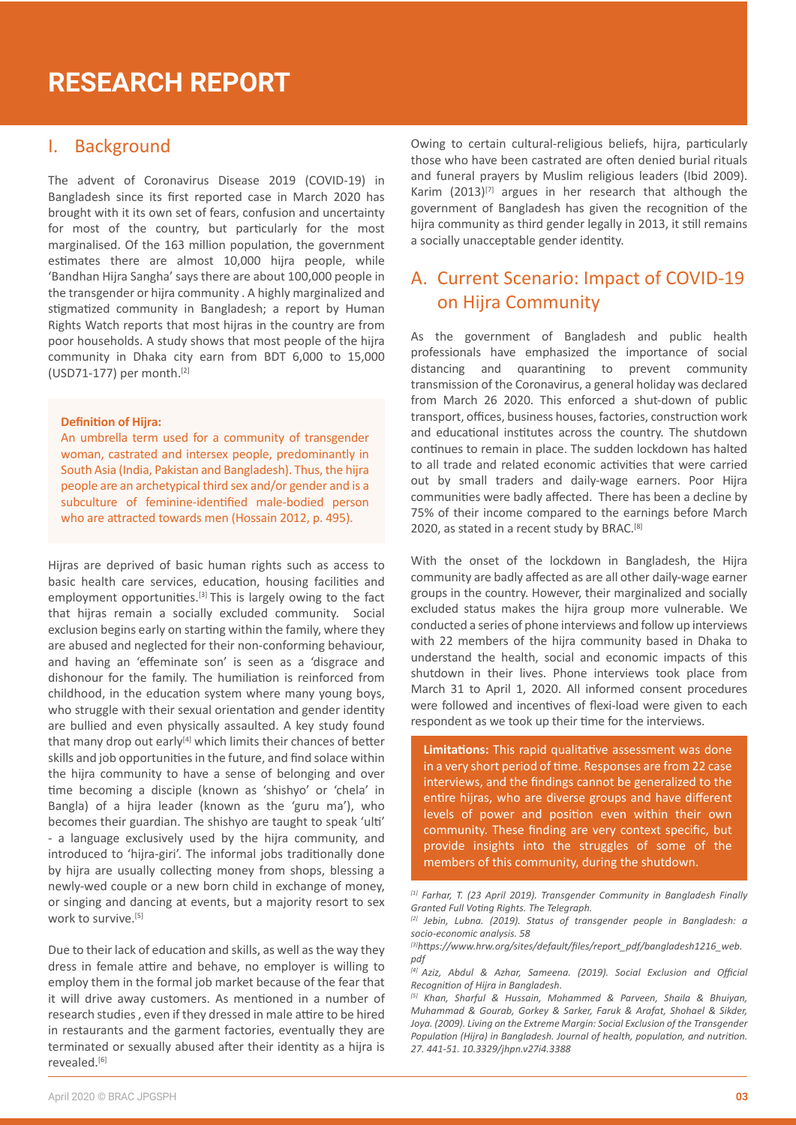# **RESEARCH REPORT**

#### I. Background

The advent of Coronavirus Disease 2019 (COVID-19) in Bangladesh since its first reported case in March 2020 has brought with it its own set of fears, confusion and uncertainty for most of the country, but par�cularly for the most marginalised. Of the 163 million population, the government estimates there are almost 10,000 hijra people, while 'Bandhan Hijra Sangha' says there are about 100,000 people in the transgender or hijra community . A highly marginalized and stigmatized community in Bangladesh; a report by Human Rights Watch reports that most hijras in the country are from poor households. A study shows that most people of the hijra community in Dhaka city earn from BDT 6,000 to 15,000 (USD71-177) per month.[2]

#### **Defini�on of Hijra:**

An umbrella term used for a community of transgender woman, castrated and intersex people, predominantly in South Asia (India, Pakistan and Bangladesh). Thus, the hijra people are an archetypical third sex and/or gender and is a subculture of feminine-iden�fied male-bodied person who are attracted towards men (Hossain 2012, p. 495).

Hijras are deprived of basic human rights such as access to basic health care services, education, housing facilities and employment opportunities.<sup>[3]</sup> This is largely owing to the fact that hijras remain a socially excluded community. Social exclusion begins early on starting within the family, where they are abused and neglected for their non-conforming behaviour, and having an 'effeminate son' is seen as a 'disgrace and dishonour for the family. The humiliation is reinforced from childhood, in the education system where many young boys, who struggle with their sexual orientation and gender identity are bullied and even physically assaulted. A key study found that many drop out early<sup>[4]</sup> which limits their chances of better skills and job opportunities in the future, and find solace within the hijra community to have a sense of belonging and over �me becoming a disciple (known as 'shishyo' or 'chela' in Bangla) of a hijra leader (known as the 'guru ma'), who becomes their guardian. The shishyo are taught to speak 'ulti' - a language exclusively used by the hijra community, and introduced to 'hijra-giri'. The informal jobs traditionally done by hijra are usually collecting money from shops, blessing a newly-wed couple or a new born child in exchange of money, or singing and dancing at events, but a majority resort to sex work to survive.<sup>[5]</sup>

Due to their lack of education and skills, as well as the way they dress in female attire and behave, no employer is willing to employ them in the formal job market because of the fear that it will drive away customers. As mentioned in a number of research studies, even if they dressed in male attire to be hired in restaurants and the garment factories, eventually they are terminated or sexually abused after their identity as a hijra is revealed.[6]

Owing to certain cultural-religious beliefs, hijra, particularly those who have been castrated are often denied burial rituals and funeral prayers by Muslim religious leaders (Ibid 2009). Karim  $(2013)^{[7]}$  argues in her research that although the government of Bangladesh has given the recognition of the hijra community as third gender legally in 2013, it still remains a socially unacceptable gender identity.

### A. Current Scenario: Impact of COVID-19 on Hijra Community

As the government of Bangladesh and public health professionals have emphasized the importance of social distancing and quarantining to prevent community transmission of the Coronavirus, a general holiday was declared from March 26 2020. This enforced a shut-down of public transport, offices, business houses, factories, construction work and educational institutes across the country. The shutdown continues to remain in place. The sudden lockdown has halted to all trade and related economic activities that were carried out by small traders and daily-wage earners. Poor Hijra communities were badly affected. There has been a decline by 75% of their income compared to the earnings before March 2020, as stated in a recent study by BRAC.<sup>[8]</sup>

With the onset of the lockdown in Bangladesh, the Hijra community are badly affected as are all other daily-wage earner groups in the country. However, their marginalized and socially excluded status makes the hijra group more vulnerable. We conducted a series of phone interviews and follow up interviews with 22 members of the hijra community based in Dhaka to understand the health, social and economic impacts of this shutdown in their lives. Phone interviews took place from March 31 to April 1, 2020. All informed consent procedures were followed and incentives of flexi-load were given to each respondent as we took up their time for the interviews.

**Limitations:** This rapid qualitative assessment was done in a very short period of time. Responses are from 22 case interviews, and the findings cannot be generalized to the entire hijras, who are diverse groups and have different levels of power and position even within their own community. These finding are very context specific, but provide insights into the struggles of some of the members of this community, during the shutdown.

*<sup>[1]</sup> Farhar, T. (23 April 2019). Transgender Community in Bangladesh Finally Granted Full Voting Rights. The Telegraph.* 

*<sup>[2]</sup> Jebin, Lubna. (2019). Status of transgender people in Bangladesh: a socio-economic analysis. 58*

*<sup>[3]</sup>https://www.hrw.org/sites/default/files/report\_pdf/bangladesh1216\_web. pdf*

*<sup>[4]</sup> Aziz, Abdul & Azhar, Sameena. (2019). Social Exclusion and Official Recognition of Hijra in Bangladesh.*

*<sup>[5]</sup> Khan, Sharful & Hussain, Mohammed & Parveen, Shaila & Bhuiyan, Muhammad & Gourab, Gorkey & Sarker, Faruk & Arafat, Shohael & Sikder,*  Joya. (2009). Living on the Extreme Margin: Social Exclusion of the Transgender *Population (Hijra) in Bangladesh. Journal of health, population, and nutrition. 27. 441-51. 10.3329/jhpn.v27i4.3388*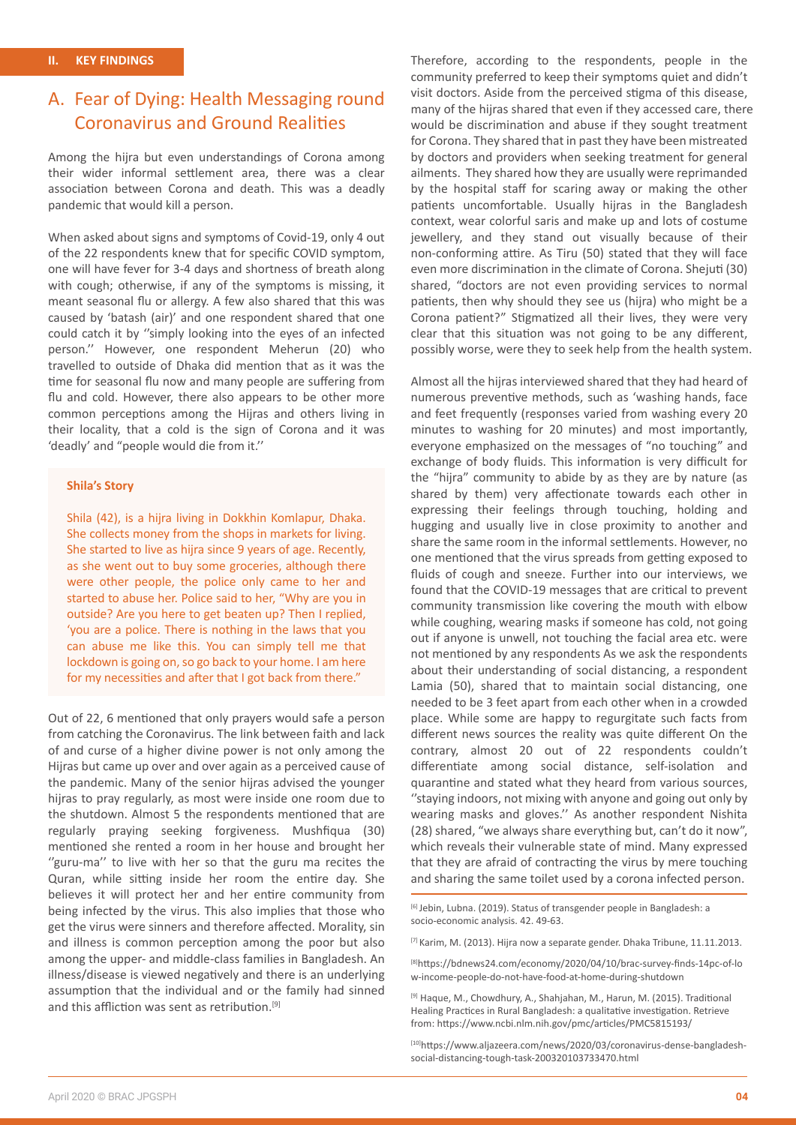## A. Fear of Dying: Health Messaging round Coronavirus and Ground Realities

Among the hijra but even understandings of Corona among their wider informal settlement area, there was a clear association between Corona and death. This was a deadly pandemic that would kill a person.

When asked about signs and symptoms of Covid-19, only 4 out of the 22 respondents knew that for specific COVID symptom, one will have fever for 3-4 days and shortness of breath along with cough; otherwise, if any of the symptoms is missing, it meant seasonal flu or allergy. A few also shared that this was caused by 'batash (air)' and one respondent shared that one could catch it by ''simply looking into the eyes of an infected person.'' However, one respondent Meherun (20) who travelled to outside of Dhaka did mention that as it was the time for seasonal flu now and many people are suffering from flu and cold. However, there also appears to be other more common perceptions among the Hijras and others living in their locality, that a cold is the sign of Corona and it was 'deadly' and "people would die from it.''

#### **Shila's Story**

Shila (42), is a hijra living in Dokkhin Komlapur, Dhaka. She collects money from the shops in markets for living. She started to live as hijra since 9 years of age. Recently, as she went out to buy some groceries, although there were other people, the police only came to her and started to abuse her. Police said to her, "Why are you in outside? Are you here to get beaten up? Then I replied, 'you are a police. There is nothing in the laws that you can abuse me like this. You can simply tell me that lockdown is going on, so go back to your home. I am here for my necessities and after that I got back from there."

Out of 22, 6 mentioned that only prayers would safe a person from catching the Coronavirus. The link between faith and lack of and curse of a higher divine power is not only among the Hijras but came up over and over again as a perceived cause of the pandemic. Many of the senior hijras advised the younger hijras to pray regularly, as most were inside one room due to the shutdown. Almost 5 the respondents mentioned that are regularly praying seeking forgiveness. Mushfiqua (30) mentioned she rented a room in her house and brought her ''guru-ma'' to live with her so that the guru ma recites the Quran, while sitting inside her room the entire day. She believes it will protect her and her entire community from being infected by the virus. This also implies that those who get the virus were sinners and therefore affected. Morality, sin and illness is common perception among the poor but also among the upper- and middle-class families in Bangladesh. An illness/disease is viewed negatively and there is an underlying assumption that the individual and or the family had sinned and this affliction was sent as retribution.<sup>[9]</sup>

Therefore, according to the respondents, people in the community preferred to keep their symptoms quiet and didn't visit doctors. Aside from the perceived stigma of this disease, many of the hijras shared that even if they accessed care, there would be discrimination and abuse if they sought treatment for Corona. They shared that in past they have been mistreated by doctors and providers when seeking treatment for general ailments. They shared how they are usually were reprimanded by the hospital staff for scaring away or making the other patients uncomfortable. Usually hijras in the Bangladesh context, wear colorful saris and make up and lots of costume jewellery, and they stand out visually because of their non-conforming attire. As Tiru (50) stated that they will face even more discrimination in the climate of Corona. Shejuti (30) shared, "doctors are not even providing services to normal patients, then why should they see us (hijra) who might be a Corona patient?" Stigmatized all their lives, they were very clear that this situation was not going to be any different, possibly worse, were they to seek help from the health system.

Almost all the hijras interviewed shared that they had heard of numerous preventive methods, such as 'washing hands, face and feet frequently (responses varied from washing every 20 minutes to washing for 20 minutes) and most importantly, everyone emphasized on the messages of "no touching" and exchange of body fluids. This information is very difficult for the "hijra" community to abide by as they are by nature (as shared by them) very affectionate towards each other in expressing their feelings through touching, holding and hugging and usually live in close proximity to another and share the same room in the informal settlements. However, no one mentioned that the virus spreads from getting exposed to fluids of cough and sneeze. Further into our interviews, we found that the COVID-19 messages that are critical to prevent community transmission like covering the mouth with elbow while coughing, wearing masks if someone has cold, not going out if anyone is unwell, not touching the facial area etc. were not mentioned by any respondents As we ask the respondents about their understanding of social distancing, a respondent Lamia (50), shared that to maintain social distancing, one needed to be 3 feet apart from each other when in a crowded place. While some are happy to regurgitate such facts from different news sources the reality was quite different On the contrary, almost 20 out of 22 respondents couldn't differentiate among social distance, self-isolation and quarantine and stated what they heard from various sources, ''staying indoors, not mixing with anyone and going out only by wearing masks and gloves.'' As another respondent Nishita (28) shared, "we always share everything but, can't do it now", which reveals their vulnerable state of mind. Many expressed that they are afraid of contracting the virus by mere touching and sharing the same toilet used by a corona infected person.

[6] Jebin, Lubna. (2019). Status of transgender people in Bangladesh: a socio-economic analysis. 42. 49-63.

[7] Karim, M. (2013). Hijra now a separate gender. Dhaka Tribune, 11.11.2013.

[8]https://bdnews24.com/economy/2020/04/10/brac-survey-finds-14pc-of-lo w-income-people-do-not-have-food-at-home-during-shutdown

[9] Haque, M., Chowdhury, A., Shahjahan, M., Harun, M. (2015). Traditional Healing Practices in Rural Bangladesh: a qualitative investigation. Retrieve from: https://www.ncbi.nlm.nih.gov/pmc/articles/PMC5815193/

[10]https://www.aljazeera.com/news/2020/03/coronavirus-dense-bangladeshsocial-distancing-tough-task-200320103733470.html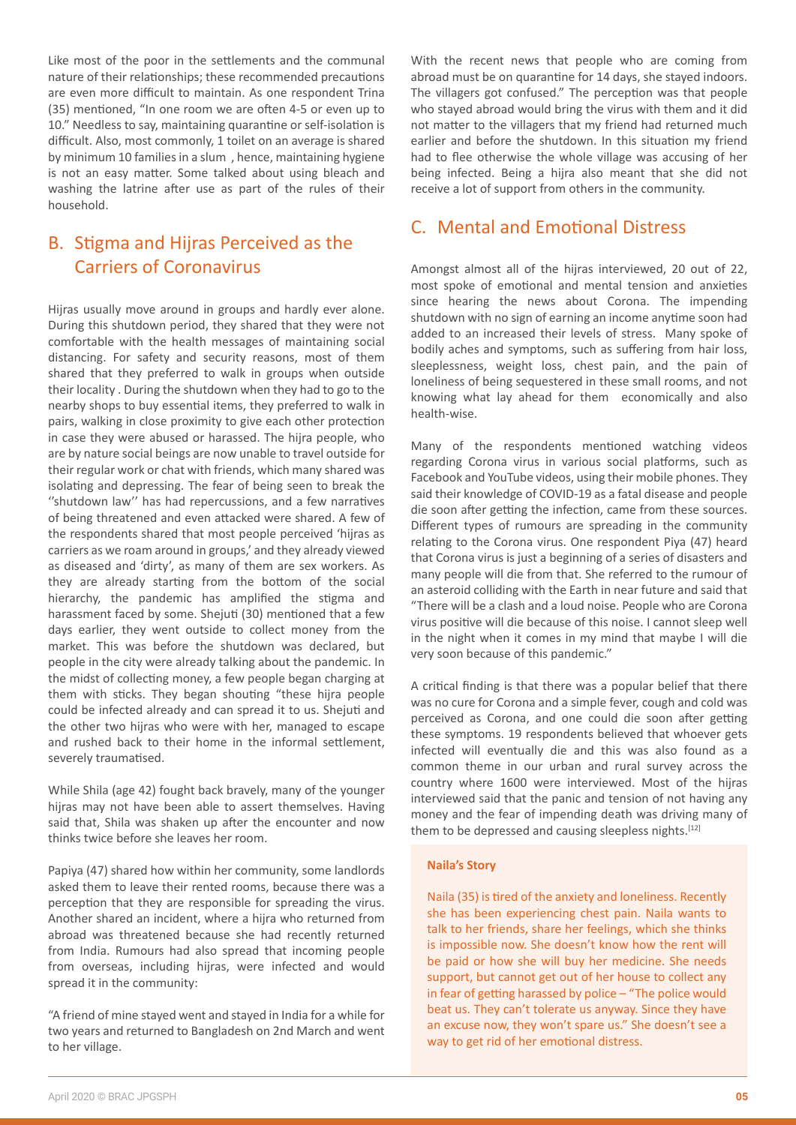Like most of the poor in the settlements and the communal nature of their relationships; these recommended precautions are even more difficult to maintain. As one respondent Trina (35) mentioned, "In one room we are often 4-5 or even up to 10." Needless to say, maintaining quarantine or self-isolation is difficult. Also, most commonly, 1 toilet on an average is shared by minimum 10 families in a slum , hence, maintaining hygiene is not an easy matter. Some talked about using bleach and washing the latrine after use as part of the rules of their household.

# B. Stigma and Hijras Perceived as the Carriers of Coronavirus

Hijras usually move around in groups and hardly ever alone. During this shutdown period, they shared that they were not comfortable with the health messages of maintaining social distancing. For safety and security reasons, most of them shared that they preferred to walk in groups when outside their locality . During the shutdown when they had to go to the nearby shops to buy essential items, they preferred to walk in pairs, walking in close proximity to give each other protection in case they were abused or harassed. The hijra people, who are by nature social beings are now unable to travel outside for their regular work or chat with friends, which many shared was isolating and depressing. The fear of being seen to break the "shutdown law" has had repercussions, and a few narratives of being threatened and even attacked were shared. A few of the respondents shared that most people perceived 'hijras as carriers as we roam around in groups,' and they already viewed as diseased and 'dirty', as many of them are sex workers. As they are already starting from the bottom of the social hierarchy, the pandemic has amplified the stigma and harassment faced by some. Shejuti (30) mentioned that a few days earlier, they went outside to collect money from the market. This was before the shutdown was declared, but people in the city were already talking about the pandemic. In the midst of collecting money, a few people began charging at them with sticks. They began shouting "these hijra people could be infected already and can spread it to us. Shejuti and the other two hijras who were with her, managed to escape and rushed back to their home in the informal settlement. severely traumatised.

While Shila (age 42) fought back bravely, many of the younger hijras may not have been able to assert themselves. Having said that, Shila was shaken up after the encounter and now thinks twice before she leaves her room.

Papiya (47) shared how within her community, some landlords asked them to leave their rented rooms, because there was a perception that they are responsible for spreading the virus. Another shared an incident, where a hijra who returned from abroad was threatened because she had recently returned from India. Rumours had also spread that incoming people from overseas, including hijras, were infected and would spread it in the community:

"A friend of mine stayed went and stayed in India for a while for two years and returned to Bangladesh on 2nd March and went to her village.

With the recent news that people who are coming from abroad must be on quarantine for 14 days, she stayed indoors. The villagers got confused." The perception was that people who stayed abroad would bring the virus with them and it did not matter to the villagers that my friend had returned much earlier and before the shutdown. In this situation my friend had to flee otherwise the whole village was accusing of her being infected. Being a hijra also meant that she did not receive a lot of support from others in the community.

#### C. Mental and Emotional Distress

Amongst almost all of the hijras interviewed, 20 out of 22, most spoke of emotional and mental tension and anxieties since hearing the news about Corona. The impending shutdown with no sign of earning an income anytime soon had added to an increased their levels of stress. Many spoke of bodily aches and symptoms, such as suffering from hair loss, sleeplessness, weight loss, chest pain, and the pain of loneliness of being sequestered in these small rooms, and not knowing what lay ahead for them economically and also health-wise.

Many of the respondents mentioned watching videos regarding Corona virus in various social platforms, such as Facebook and YouTube videos, using their mobile phones. They said their knowledge of COVID-19 as a fatal disease and people die soon after getting the infection, came from these sources. Different types of rumours are spreading in the community relating to the Corona virus. One respondent Piya (47) heard that Corona virus is just a beginning of a series of disasters and many people will die from that. She referred to the rumour of an asteroid colliding with the Earth in near future and said that "There will be a clash and a loud noise. People who are Corona virus positive will die because of this noise. I cannot sleep well in the night when it comes in my mind that maybe I will die very soon because of this pandemic."

A critical finding is that there was a popular belief that there was no cure for Corona and a simple fever, cough and cold was perceived as Corona, and one could die soon after getting these symptoms. 19 respondents believed that whoever gets infected will eventually die and this was also found as a common theme in our urban and rural survey across the country where 1600 were interviewed. Most of the hijras interviewed said that the panic and tension of not having any money and the fear of impending death was driving many of them to be depressed and causing sleepless nights.<sup>[12]</sup>

#### **Naila's Story**

Naila (35) is tired of the anxiety and loneliness. Recently she has been experiencing chest pain. Naila wants to talk to her friends, share her feelings, which she thinks is impossible now. She doesn't know how the rent will be paid or how she will buy her medicine. She needs support, but cannot get out of her house to collect any in fear of getting harassed by police  $-$  "The police would beat us. They can't tolerate us anyway. Since they have an excuse now, they won't spare us." She doesn't see a way to get rid of her emotional distress.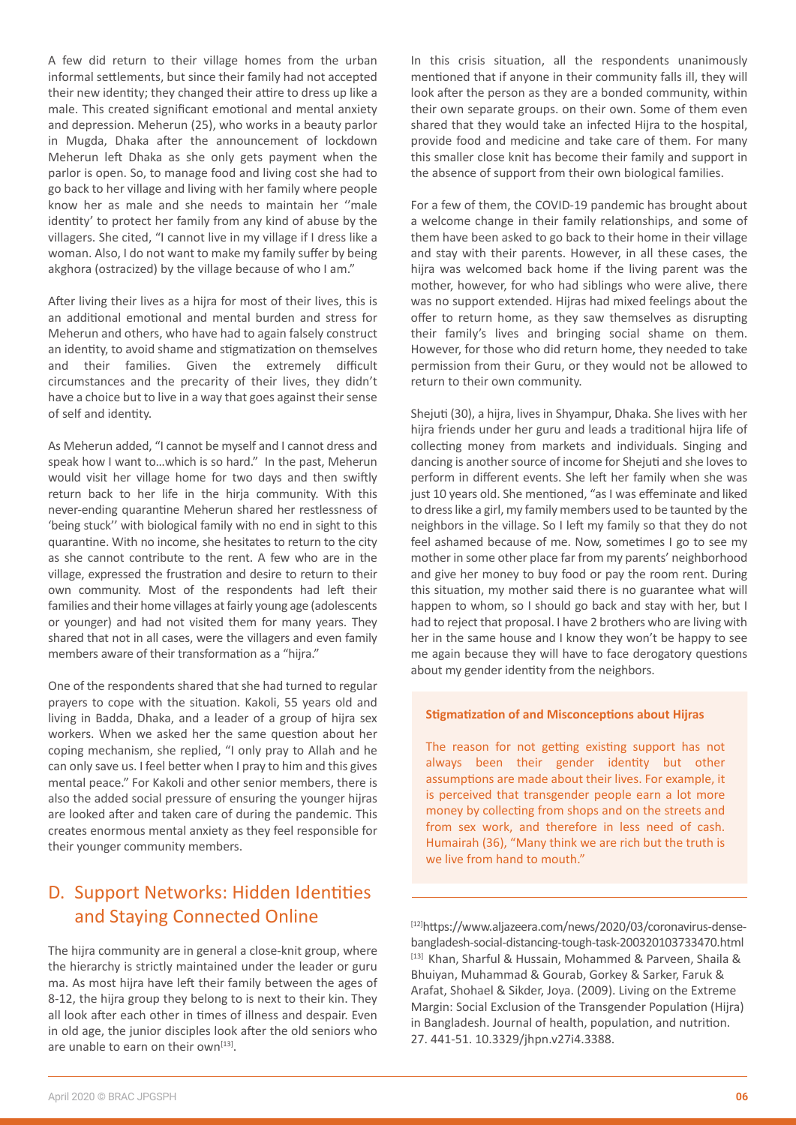identity' to protect her family from any kind of abuse by the villagers. She cited, "I cannot live in my village if I dress like a woman. Also, I do not want to make my family suffer by being akghora (ostracized) by the village because of who I am." A�er living their lives as a hijra for most of their lives, this is an additional emotional and mental burden and stress for Meherun and others, who have had to again falsely construct an identity, to avoid shame and stigmatization on themselves and their families. Given the extremely difficult circumstances and the precarity of their lives, they didn't have a choice but to live in a way that goes against their sense

of self and identity.

A few did return to their village homes from the urban informal settlements, but since their family had not accepted their new identity; they changed their attire to dress up like a male. This created significant emotional and mental anxiety and depression. Meherun (25), who works in a beauty parlor in Mugda, Dhaka after the announcement of lockdown Meherun left Dhaka as she only gets payment when the parlor is open. So, to manage food and living cost she had to go back to her village and living with her family where people know her as male and she needs to maintain her ''male

As Meherun added, "I cannot be myself and I cannot dress and speak how I want to…which is so hard." In the past, Meherun would visit her village home for two days and then swiftly return back to her life in the hiria community. With this never-ending quarantine Meherun shared her restlessness of 'being stuck'' with biological family with no end in sight to this quarantine. With no income, she hesitates to return to the city as she cannot contribute to the rent. A few who are in the village, expressed the frustration and desire to return to their own community. Most of the respondents had left their families and their home villages at fairly young age (adolescents or younger) and had not visited them for many years. They shared that not in all cases, were the villagers and even family members aware of their transformation as a "hijra."

One of the respondents shared that she had turned to regular prayers to cope with the situation. Kakoli, 55 years old and living in Badda, Dhaka, and a leader of a group of hijra sex workers. When we asked her the same question about her coping mechanism, she replied, "I only pray to Allah and he can only save us. I feel better when I pray to him and this gives mental peace." For Kakoli and other senior members, there is also the added social pressure of ensuring the younger hijras are looked after and taken care of during the pandemic. This creates enormous mental anxiety as they feel responsible for their younger community members.

### D. Support Networks: Hidden Identities and Staying Connected Online

The hijra community are in general a close-knit group, where the hierarchy is strictly maintained under the leader or guru ma. As most hijra have left their family between the ages of 8-12, the hijra group they belong to is next to their kin. They all look after each other in times of illness and despair. Even in old age, the junior disciples look after the old seniors who are unable to earn on their own $[13]$ .

In this crisis situation, all the respondents unanimously mentioned that if anyone in their community falls ill, they will look after the person as they are a bonded community, within their own separate groups. on their own. Some of them even shared that they would take an infected Hijra to the hospital, provide food and medicine and take care of them. For many this smaller close knit has become their family and support in the absence of support from their own biological families.

For a few of them, the COVID-19 pandemic has brought about a welcome change in their family relationships, and some of them have been asked to go back to their home in their village and stay with their parents. However, in all these cases, the hijra was welcomed back home if the living parent was the mother, however, for who had siblings who were alive, there was no support extended. Hijras had mixed feelings about the offer to return home, as they saw themselves as disrupting their family's lives and bringing social shame on them. However, for those who did return home, they needed to take permission from their Guru, or they would not be allowed to return to their own community.

Shejuti (30), a hijra, lives in Shyampur, Dhaka. She lives with her hijra friends under her guru and leads a traditional hijra life of collecting money from markets and individuals. Singing and dancing is another source of income for Shejuti and she loves to perform in different events. She left her family when she was just 10 years old. She mentioned, "as I was effeminate and liked to dress like a girl, my family members used to be taunted by the neighbors in the village. So I left my family so that they do not feel ashamed because of me. Now, sometimes I go to see my mother in some other place far from my parents' neighborhood and give her money to buy food or pay the room rent. During this situation, my mother said there is no guarantee what will happen to whom, so I should go back and stay with her, but I had to reject that proposal. I have 2 brothers who are living with her in the same house and I know they won't be happy to see me again because they will have to face derogatory questions about my gender identity from the neighbors.

#### **Stigmatization of and Misconceptions about Hijras**

The reason for not getting existing support has not always been their gender identity but other assumptions are made about their lives. For example, it is perceived that transgender people earn a lot more money by collecting from shops and on the streets and from sex work, and therefore in less need of cash. Humairah (36), "Many think we are rich but the truth is we live from hand to mouth."

[12]https://www.aljazeera.com/news/2020/03/coronavirus-densebangladesh-social-distancing-tough-task-200320103733470.html [13] Khan, Sharful & Hussain, Mohammed & Parveen, Shaila & Bhuiyan, Muhammad & Gourab, Gorkey & Sarker, Faruk & Arafat, Shohael & Sikder, Joya. (2009). Living on the Extreme Margin: Social Exclusion of the Transgender Population (Hijra) in Bangladesh. Journal of health, population, and nutrition. 27. 441-51. 10.3329/jhpn.v27i4.3388.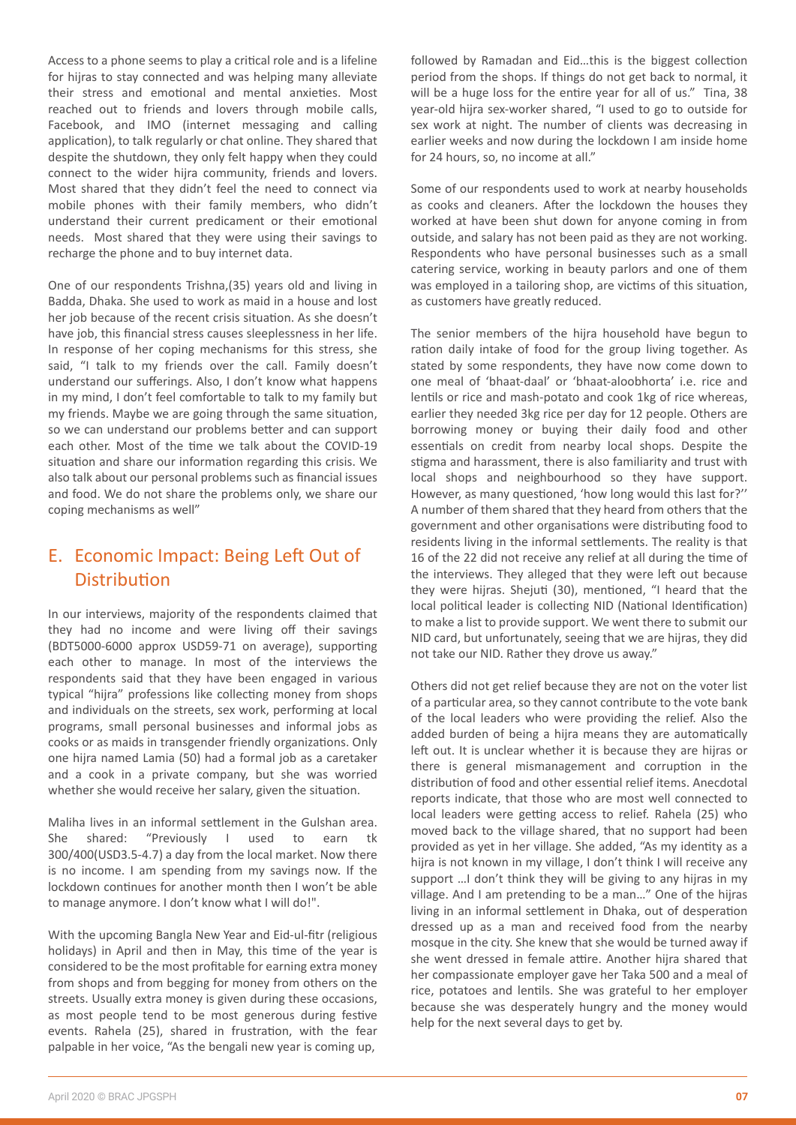Access to a phone seems to play a critical role and is a lifeline for hijras to stay connected and was helping many alleviate their stress and emotional and mental anxieties. Most reached out to friends and lovers through mobile calls, Facebook, and IMO (internet messaging and calling application), to talk regularly or chat online. They shared that despite the shutdown, they only felt happy when they could connect to the wider hijra community, friends and lovers. Most shared that they didn't feel the need to connect via mobile phones with their family members, who didn't understand their current predicament or their emotional needs. Most shared that they were using their savings to recharge the phone and to buy internet data.

One of our respondents Trishna,(35) years old and living in Badda, Dhaka. She used to work as maid in a house and lost her job because of the recent crisis situation. As she doesn't have job, this financial stress causes sleeplessness in her life. In response of her coping mechanisms for this stress, she said, "I talk to my friends over the call. Family doesn't understand our sufferings. Also, I don't know what happens in my mind, I don't feel comfortable to talk to my family but my friends. Maybe we are going through the same situation, so we can understand our problems better and can support each other. Most of the time we talk about the COVID-19 situation and share our information regarding this crisis. We also talk about our personal problems such as financial issues and food. We do not share the problems only, we share our coping mechanisms as well"

### E. Economic Impact: Being Left Out of Distribution

In our interviews, majority of the respondents claimed that they had no income and were living off their savings (BDT5000-6000 approx USD59-71 on average), supporting each other to manage. In most of the interviews the respondents said that they have been engaged in various typical "hijra" professions like collecting money from shops and individuals on the streets, sex work, performing at local programs, small personal businesses and informal jobs as cooks or as maids in transgender friendly organizations. Only one hijra named Lamia (50) had a formal job as a caretaker and a cook in a private company, but she was worried whether she would receive her salary, given the situation.

Maliha lives in an informal settlement in the Gulshan area. She shared: "Previously I used to earn tk 300/400(USD3.5-4.7) a day from the local market. Now there is no income. I am spending from my savings now. If the lockdown continues for another month then I won't be able to manage anymore. I don't know what I will do!".

With the upcoming Bangla New Year and Eid-ul-fitr (religious holidays) in April and then in May, this time of the year is considered to be the most profitable for earning extra money from shops and from begging for money from others on the streets. Usually extra money is given during these occasions, as most people tend to be most generous during festive events. Rahela (25), shared in frustration, with the fear palpable in her voice, "As the bengali new year is coming up,

followed by Ramadan and Eid...this is the biggest collection period from the shops. If things do not get back to normal, it will be a huge loss for the entire year for all of us." Tina, 38 year-old hijra sex-worker shared, "I used to go to outside for sex work at night. The number of clients was decreasing in earlier weeks and now during the lockdown I am inside home for 24 hours, so, no income at all."

Some of our respondents used to work at nearby households as cooks and cleaners. After the lockdown the houses they worked at have been shut down for anyone coming in from outside, and salary has not been paid as they are not working. Respondents who have personal businesses such as a small catering service, working in beauty parlors and one of them was employed in a tailoring shop, are victims of this situation, as customers have greatly reduced.

The senior members of the hijra household have begun to ration daily intake of food for the group living together. As stated by some respondents, they have now come down to one meal of 'bhaat-daal' or 'bhaat-aloobhorta' i.e. rice and lentils or rice and mash-potato and cook 1kg of rice whereas, earlier they needed 3kg rice per day for 12 people. Others are borrowing money or buying their daily food and other essentials on credit from nearby local shops. Despite the stigma and harassment, there is also familiarity and trust with local shops and neighbourhood so they have support. However, as many questioned, 'how long would this last for?'' A number of them shared that they heard from others that the government and other organisations were distributing food to residents living in the informal settlements. The reality is that 16 of the 22 did not receive any relief at all during the time of the interviews. They alleged that they were left out because they were hijras. Shejuti (30), mentioned, "I heard that the local political leader is collecting NID (National Identification) to make a list to provide support. We went there to submit our NID card, but unfortunately, seeing that we are hijras, they did not take our NID. Rather they drove us away."

Others did not get relief because they are not on the voter list of a particular area, so they cannot contribute to the vote bank of the local leaders who were providing the relief. Also the added burden of being a hijra means they are automatically left out. It is unclear whether it is because they are hijras or there is general mismanagement and corruption in the distribution of food and other essential relief items. Anecdotal reports indicate, that those who are most well connected to local leaders were getting access to relief. Rahela (25) who moved back to the village shared, that no support had been provided as yet in her village. She added, "As my identity as a hijra is not known in my village. I don't think I will receive any support ... I don't think they will be giving to any hijras in my village. And I am pretending to be a man…" One of the hijras living in an informal settlement in Dhaka, out of desperation dressed up as a man and received food from the nearby mosque in the city. She knew that she would be turned away if she went dressed in female attire. Another hijra shared that her compassionate employer gave her Taka 500 and a meal of rice, potatoes and lentils. She was grateful to her employer because she was desperately hungry and the money would help for the next several days to get by.